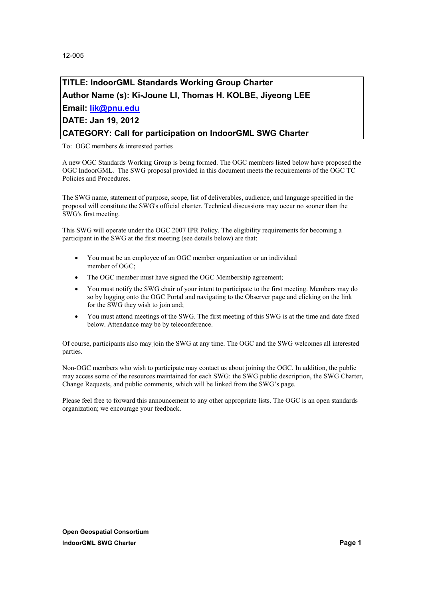# **TITLE: IndoorGML Standards Working Group Charter Author Name (s): Ki-Joune LI, Thomas H. KOLBE, Jiyeong LEE Email: lik@pnu.edu**

# **DATE: Jan 19, 2012**

### **CATEGORY: Call for participation on IndoorGML SWG Charter**

To: OGC members & interested parties

A new OGC Standards Working Group is being formed. The OGC members listed below have proposed the OGC IndoorGML. The SWG proposal provided in this document meets the requirements of the OGC TC Policies and Procedures.

The SWG name, statement of purpose, scope, list of deliverables, audience, and language specified in the proposal will constitute the SWG's official charter. Technical discussions may occur no sooner than the SWG's first meeting.

This SWG will operate under the OGC 2007 IPR Policy. The eligibility requirements for becoming a participant in the SWG at the first meeting (see details below) are that:

- · You must be an employee of an OGC member organization or an individual member of OGC;
- The OGC member must have signed the OGC Membership agreement;
- · You must notify the SWG chair of your intent to participate to the first meeting. Members may do so by logging onto the OGC Portal and navigating to the Observer page and clicking on the link for the SWG they wish to join and;
- · You must attend meetings of the SWG. The first meeting of this SWG is at the time and date fixed below. Attendance may be by teleconference.

Of course, participants also may join the SWG at any time. The OGC and the SWG welcomes all interested parties.

Non-OGC members who wish to participate may contact us about joining the OGC. In addition, the public may access some of the resources maintained for each SWG: the SWG public description, the SWG Charter, Change Requests, and public comments, which will be linked from the SWG's page.

Please feel free to forward this announcement to any other appropriate lists. The OGC is an open standards organization; we encourage your feedback.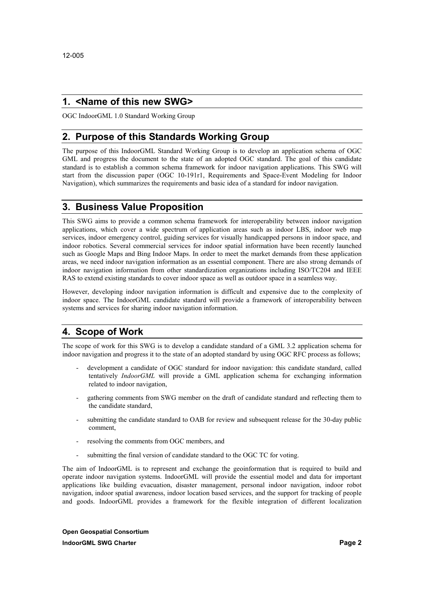### **1. <Name of this new SWG>**

OGC IndoorGML 1.0 Standard Working Group

### **2. Purpose of this Standards Working Group**

The purpose of this IndoorGML Standard Working Group is to develop an application schema of OGC GML and progress the document to the state of an adopted OGC standard. The goal of this candidate standard is to establish a common schema framework for indoor navigation applications. This SWG will start from the discussion paper (OGC 10-191r1, Requirements and Space-Event Modeling for Indoor Navigation), which summarizes the requirements and basic idea of a standard for indoor navigation.

### **3. Business Value Proposition**

This SWG aims to provide a common schema framework for interoperability between indoor navigation applications, which cover a wide spectrum of application areas such as indoor LBS, indoor web map services, indoor emergency control, guiding services for visually handicapped persons in indoor space, and indoor robotics. Several commercial services for indoor spatial information have been recently launched such as Google Maps and Bing Indoor Maps. In order to meet the market demands from these application areas, we need indoor navigation information as an essential component. There are also strong demands of indoor navigation information from other standardization organizations including ISO/TC204 and IEEE RAS to extend existing standards to cover indoor space as well as outdoor space in a seamless way.

However, developing indoor navigation information is difficult and expensive due to the complexity of indoor space. The IndoorGML candidate standard will provide a framework of interoperability between systems and services for sharing indoor navigation information.

### **4. Scope of Work**

The scope of work for this SWG is to develop a candidate standard of a GML 3.2 application schema for indoor navigation and progress it to the state of an adopted standard by using OGC RFC process as follows; - development a candidate of OGC standard for indoor navigation: this candidate standard, called

- tentatively *IndoorGML* will provide a GML application schema for exchanging information
- related to indoor navigation,<br>gathering comments from SWG member on the draft of candidate standard and reflecting them to the candidate standard,
- submitting the candidate standard to OAB for review and subsequent release for the 30-day public comment,
- resolving the comments from OGC members, and
- submitting the final version of candidate standard to the OGC TC for voting.

The aim of IndoorGML is to represent and exchange the geoinformation that is required to build and operate indoor navigation systems. IndoorGML will provide the essential model and data for important applications like building evacuation, disaster management, personal indoor navigation, indoor robot navigation, indoor spatial awareness, indoor location based services, and the support for tracking of people and goods. IndoorGML provides a framework for the flexible integration of different localization

**Open Geospatial Consortium IndoorGML SWG Charter Page 2 Page 2**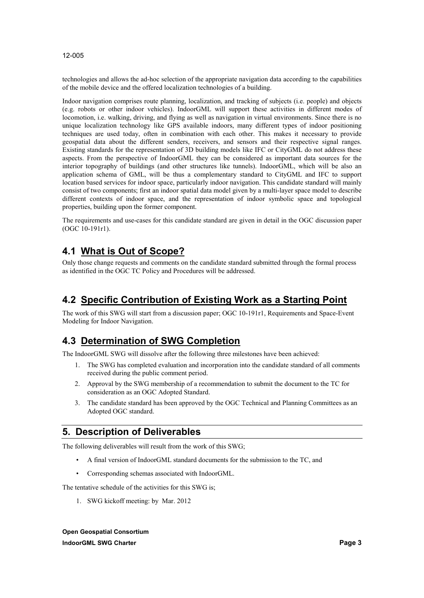technologies and allows the ad-hoc selection of the appropriate navigation data according to the capabilities of the mobile device and the offered localization technologies of a building.

Indoor navigation comprises route planning, localization, and tracking of subjects (i.e. people) and objects (e.g. robots or other indoor vehicles). IndoorGML will support these activities in different modes of locomotion, i.e. walking, driving, and flying as well as navigation in virtual environments. Since there is no unique localization technology like GPS available indoors, many different types of indoor positioning techniques are used today, often in combination with each other. This makes it necessary to provide geospatial data about the different senders, receivers, and sensors and their respective signal ranges. Existing standards for the representation of 3D building models like IFC or CityGML do not address these aspects. From the perspective of IndoorGML they can be considered as important data sources for the interior topography of buildings (and other structures like tunnels). IndoorGML, which will be also an application schema of GML, will be thus a complementary standard to CityGML and IFC to support location based services for indoor space, particularly indoor navigation. This candidate standard will mainly consist of two components; first an indoor spatial data model given by a multi-layer space model to describe different contexts of indoor space, and the representation of indoor symbolic space and topological properties, building upon the former component.

The requirements and use-cases for this candidate standard are given in detail in the OGC discussion paper (OGC 10-191r1).

### **4.1 What is Out of Scope?**

Only those change requests and comments on the candidate standard submitted through the formal process as identified in the OGC TC Policy and Procedures will be addressed.

# **4.2 Specific Contribution of Existing Work as a Starting Point**

The work of this SWG will start from a discussion paper; OGC 10-191r1, Requirements and Space-Event Modeling for Indoor Navigation.

### **4.3 Determination of SWG Completion**

The IndoorGML SWG will dissolve after the following three milestones have been achieved:

- 1. The SWG has completed evaluation and incorporation into the candidate standard of all comments received during the public comment period.
- 2. Approval by the SWG membership of a recommendation to submit the document to the TC for consideration as an OGC Adopted Standard.
- 3. The candidate standard has been approved by the OGC Technical and Planning Committees as an Adopted OGC standard.

### **5. Description of Deliverables**

The following deliverables will result from the work of this SWG;

- A final version of IndoorGML standard documents for the submission to the TC, and
- Corresponding schemas associated with IndoorGML.

The tentative schedule of the activities for this SWG is;

1. SWG kickoff meeting: by Mar. 2012

**Open Geospatial Consortium IndoorGML SWG Charter Page 3**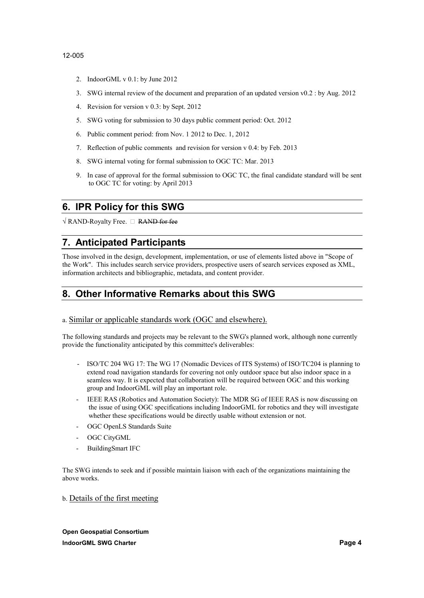- 2. IndoorGML v 0.1: by June 2012
- 3. SWG internal review of the document and preparation of an updated version v0.2 : by Aug. 2012
- 4. Revision for version v 0.3: by Sept. 2012
- 5. SWG voting for submission to 30 days public comment period: Oct. 2012
- 6. Public comment period: from Nov. 1 2012 to Dec. 1, 2012
- 7. Reflection of public comments and revision for version v 0.4: by Feb. 2013
- 8. SWG internal voting for formal submission to OGC TC: Mar. 2013
- 9. In case of approval for the formal submission to OGC TC, the final candidate standard will be sent to OGC TC for voting: by April 2013

### **6. IPR Policy for this SWG**

 $\sqrt{$  RAND-Royalty Free.  $\Box$  RAND for fee

## **7. Anticipated Participants**

Those involved in the design, development, implementation, or use of elements listed above in "Scope of the Work". This includes search service providers, prospective users of search services exposed as XML, information architects and bibliographic, metadata, and content provider.

# **8. Other Informative Remarks about this SWG**

#### a. Similar or applicable standards work (OGC and elsewhere).

The following standards and projects may be relevant to the SWG's planned work, although none currently provide the functionality anticipated by this committee's deliverables:

- ISO/TC 204 WG 17: The WG 17 (Nomadic Devices of ITS Systems) of ISO/TC204 is planning to extend road navigation standards for covering not only outdoor space but also indoor space in a seamless way. It is expected that collaboration will be required between OGC and this working group and IndoorGML will play an important role.
- IEEE RAS (Robotics and Automation Society): The MDR SG of IEEE RAS is now discussing on the issue of using OGC specifications including IndoorGML for robotics and they will investigate whether these specifications would be directly usable without extension or not.<br>- OGC OpenLS Standards Suite
- 
- OGC CityGML
- BuildingSmart IFC

The SWG intends to seek and if possible maintain liaison with each of the organizations maintaining the above works.

b. Details of the first meeting

**Open Geospatial Consortium IndoorGML SWG Charter Page 4 Page 4 Page 4 Page 4 Page 4 Page 4 Page 4 Page 4 Page 4 Page 4 Page 4 Page 4 Page 4 Page 4 Page 4 Page 4 Page 4 Page 4 Page 4 Page 4 Page 4 Page 4**